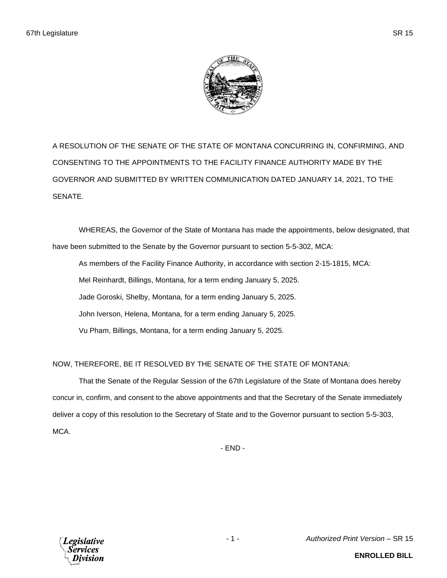

A RESOLUTION OF THE SENATE OF THE STATE OF MONTANA CONCURRING IN, CONFIRMING, AND CONSENTING TO THE APPOINTMENTS TO THE FACILITY FINANCE AUTHORITY MADE BY THE GOVERNOR AND SUBMITTED BY WRITTEN COMMUNICATION DATED JANUARY 14, 2021, TO THE SENATE.

WHEREAS, the Governor of the State of Montana has made the appointments, below designated, that have been submitted to the Senate by the Governor pursuant to section 5-5-302, MCA:

As members of the Facility Finance Authority, in accordance with section 2-15-1815, MCA: Mel Reinhardt, Billings, Montana, for a term ending January 5, 2025. Jade Goroski, Shelby, Montana, for a term ending January 5, 2025. John Iverson, Helena, Montana, for a term ending January 5, 2025. Vu Pham, Billings, Montana, for a term ending January 5, 2025.

NOW, THEREFORE, BE IT RESOLVED BY THE SENATE OF THE STATE OF MONTANA:

That the Senate of the Regular Session of the 67th Legislature of the State of Montana does hereby concur in, confirm, and consent to the above appointments and that the Secretary of the Senate immediately deliver a copy of this resolution to the Secretary of State and to the Governor pursuant to section 5-5-303, MCA.

- END -



- 1 - *Authorized Print Version* – SR 15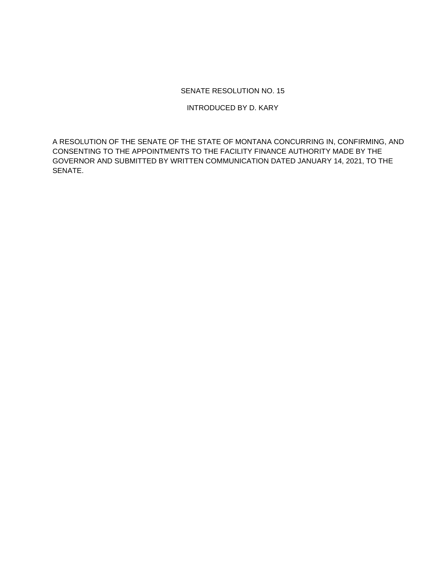## SENATE RESOLUTION NO. 15

INTRODUCED BY D. KARY

A RESOLUTION OF THE SENATE OF THE STATE OF MONTANA CONCURRING IN, CONFIRMING, AND CONSENTING TO THE APPOINTMENTS TO THE FACILITY FINANCE AUTHORITY MADE BY THE GOVERNOR AND SUBMITTED BY WRITTEN COMMUNICATION DATED JANUARY 14, 2021, TO THE SENATE.